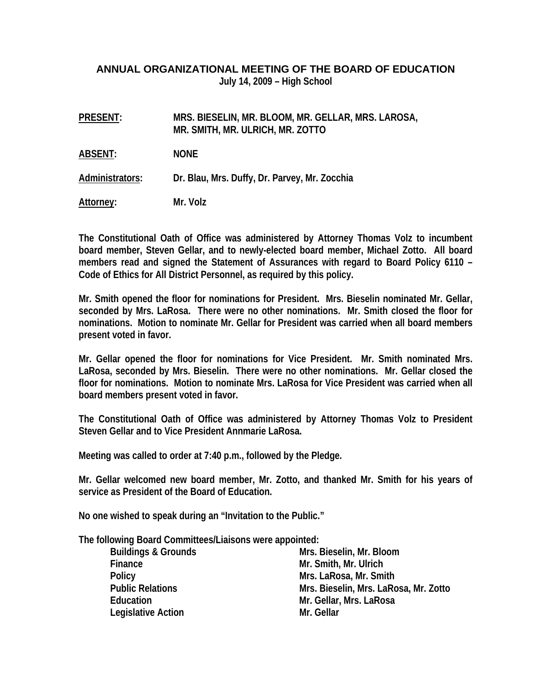## **ANNUAL ORGANIZATIONAL MEETING OF THE BOARD OF EDUCATION July 14, 2009 – High School**

| <b>PRESENT:</b> | MRS. BIESELIN, MR. BLOOM, MR. GELLAR, MRS. LAROSA,<br>MR. SMITH, MR. ULRICH, MR. ZOTTO |
|-----------------|----------------------------------------------------------------------------------------|
| ABSENT:         | <b>NONE</b>                                                                            |
| Administrators: | Dr. Blau, Mrs. Duffy, Dr. Parvey, Mr. Zocchia                                          |
| Attorney:       | Mr. Volz                                                                               |

**The Constitutional Oath of Office was administered by Attorney Thomas Volz to incumbent board member, Steven Gellar, and to newly-elected board member, Michael Zotto. All board members read and signed the Statement of Assurances with regard to Board Policy 6110 – Code of Ethics for All District Personnel, as required by this policy.** 

**Mr. Smith opened the floor for nominations for President. Mrs. Bieselin nominated Mr. Gellar, seconded by Mrs. LaRosa. There were no other nominations. Mr. Smith closed the floor for nominations. Motion to nominate Mr. Gellar for President was carried when all board members present voted in favor.** 

**Mr. Gellar opened the floor for nominations for Vice President. Mr. Smith nominated Mrs. LaRosa, seconded by Mrs. Bieselin. There were no other nominations. Mr. Gellar closed the floor for nominations. Motion to nominate Mrs. LaRosa for Vice President was carried when all board members present voted in favor.** 

**The Constitutional Oath of Office was administered by Attorney Thomas Volz to President Steven Gellar and to Vice President Annmarie LaRosa.** 

**Meeting was called to order at 7:40 p.m., followed by the Pledge.** 

**Mr. Gellar welcomed new board member, Mr. Zotto, and thanked Mr. Smith for his years of service as President of the Board of Education.** 

**No one wished to speak during an "Invitation to the Public."** 

**The following Board Committees/Liaisons were appointed:** 

| <b>Buildings &amp; Grounds</b> | Mrs. Bieselin, Mr. Bloom              |
|--------------------------------|---------------------------------------|
| Finance                        | Mr. Smith, Mr. Ulrich                 |
| <b>Policy</b>                  | Mrs. LaRosa, Mr. Smith                |
| <b>Public Relations</b>        | Mrs. Bieselin, Mrs. LaRosa, Mr. Zotto |
| Education                      | Mr. Gellar, Mrs. LaRosa               |
| Legislative Action             | Mr. Gellar                            |
|                                |                                       |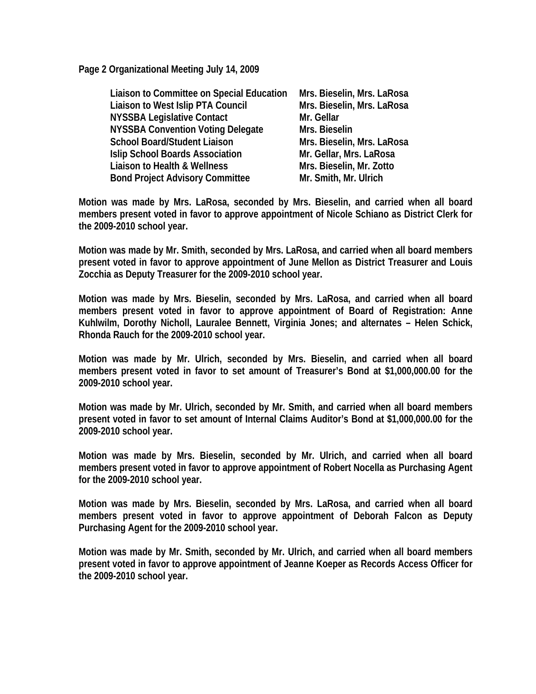**Page 2 Organizational Meeting July 14, 2009** 

| Liaison to Committee on Special Education | Mrs. Bieselin, Mrs. LaRosa |
|-------------------------------------------|----------------------------|
| Liaison to West Islip PTA Council         | Mrs. Bieselin, Mrs. LaRosa |
| <b>NYSSBA Legislative Contact</b>         | Mr. Gellar                 |
| <b>NYSSBA Convention Voting Delegate</b>  | Mrs. Bieselin              |
| <b>School Board/Student Liaison</b>       | Mrs. Bieselin, Mrs. LaRosa |
| <b>Islip School Boards Association</b>    | Mr. Gellar, Mrs. LaRosa    |
| Liaison to Health & Wellness              | Mrs. Bieselin, Mr. Zotto   |
| <b>Bond Project Advisory Committee</b>    | Mr. Smith, Mr. Ulrich      |

**Motion was made by Mrs. LaRosa, seconded by Mrs. Bieselin, and carried when all board members present voted in favor to approve appointment of Nicole Schiano as District Clerk for the 2009-2010 school year.** 

**Motion was made by Mr. Smith, seconded by Mrs. LaRosa, and carried when all board members present voted in favor to approve appointment of June Mellon as District Treasurer and Louis Zocchia as Deputy Treasurer for the 2009-2010 school year.** 

**Motion was made by Mrs. Bieselin, seconded by Mrs. LaRosa, and carried when all board members present voted in favor to approve appointment of Board of Registration: Anne Kuhlwilm, Dorothy Nicholl, Lauralee Bennett, Virginia Jones; and alternates – Helen Schick, Rhonda Rauch for the 2009-2010 school year.** 

**Motion was made by Mr. Ulrich, seconded by Mrs. Bieselin, and carried when all board members present voted in favor to set amount of Treasurer's Bond at \$1,000,000.00 for the 2009-2010 school year.** 

**Motion was made by Mr. Ulrich, seconded by Mr. Smith, and carried when all board members present voted in favor to set amount of Internal Claims Auditor's Bond at \$1,000,000.00 for the 2009-2010 school year.** 

**Motion was made by Mrs. Bieselin, seconded by Mr. Ulrich, and carried when all board members present voted in favor to approve appointment of Robert Nocella as Purchasing Agent for the 2009-2010 school year.** 

**Motion was made by Mrs. Bieselin, seconded by Mrs. LaRosa, and carried when all board members present voted in favor to approve appointment of Deborah Falcon as Deputy Purchasing Agent for the 2009-2010 school year.** 

**Motion was made by Mr. Smith, seconded by Mr. Ulrich, and carried when all board members present voted in favor to approve appointment of Jeanne Koeper as Records Access Officer for the 2009-2010 school year.**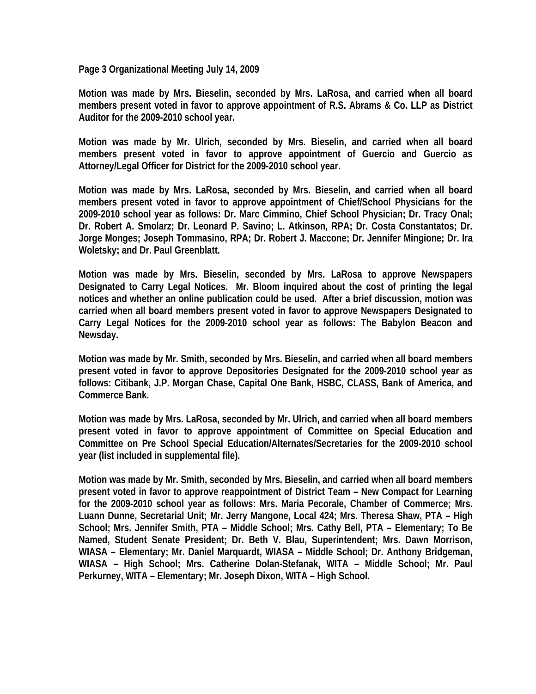**Page 3 Organizational Meeting July 14, 2009** 

**Motion was made by Mrs. Bieselin, seconded by Mrs. LaRosa, and carried when all board members present voted in favor to approve appointment of R.S. Abrams & Co. LLP as District Auditor for the 2009-2010 school year.** 

**Motion was made by Mr. Ulrich, seconded by Mrs. Bieselin, and carried when all board members present voted in favor to approve appointment of Guercio and Guercio as Attorney/Legal Officer for District for the 2009-2010 school year.** 

**Motion was made by Mrs. LaRosa, seconded by Mrs. Bieselin, and carried when all board members present voted in favor to approve appointment of Chief/School Physicians for the 2009-2010 school year as follows: Dr. Marc Cimmino, Chief School Physician; Dr. Tracy Onal; Dr. Robert A. Smolarz; Dr. Leonard P. Savino; L. Atkinson, RPA; Dr. Costa Constantatos; Dr. Jorge Monges; Joseph Tommasino, RPA; Dr. Robert J. Maccone; Dr. Jennifer Mingione; Dr. Ira Woletsky; and Dr. Paul Greenblatt.** 

**Motion was made by Mrs. Bieselin, seconded by Mrs. LaRosa to approve Newspapers Designated to Carry Legal Notices. Mr. Bloom inquired about the cost of printing the legal notices and whether an online publication could be used. After a brief discussion, motion was carried when all board members present voted in favor to approve Newspapers Designated to Carry Legal Notices for the 2009-2010 school year as follows: The Babylon Beacon and Newsday.** 

**Motion was made by Mr. Smith, seconded by Mrs. Bieselin, and carried when all board members present voted in favor to approve Depositories Designated for the 2009-2010 school year as follows: Citibank, J.P. Morgan Chase, Capital One Bank, HSBC, CLASS, Bank of America, and Commerce Bank.** 

**Motion was made by Mrs. LaRosa, seconded by Mr. Ulrich, and carried when all board members present voted in favor to approve appointment of Committee on Special Education and Committee on Pre School Special Education/Alternates/Secretaries for the 2009-2010 school year (list included in supplemental file).** 

**Motion was made by Mr. Smith, seconded by Mrs. Bieselin, and carried when all board members present voted in favor to approve reappointment of District Team – New Compact for Learning for the 2009-2010 school year as follows: Mrs. Maria Pecorale, Chamber of Commerce; Mrs. Luann Dunne, Secretarial Unit; Mr. Jerry Mangone, Local 424; Mrs. Theresa Shaw, PTA – High School; Mrs. Jennifer Smith, PTA – Middle School; Mrs. Cathy Bell, PTA – Elementary; To Be Named, Student Senate President; Dr. Beth V. Blau, Superintendent; Mrs. Dawn Morrison, WIASA – Elementary; Mr. Daniel Marquardt, WIASA – Middle School; Dr. Anthony Bridgeman, WIASA – High School; Mrs. Catherine Dolan-Stefanak, WITA – Middle School; Mr. Paul Perkurney, WITA – Elementary; Mr. Joseph Dixon, WITA – High School.**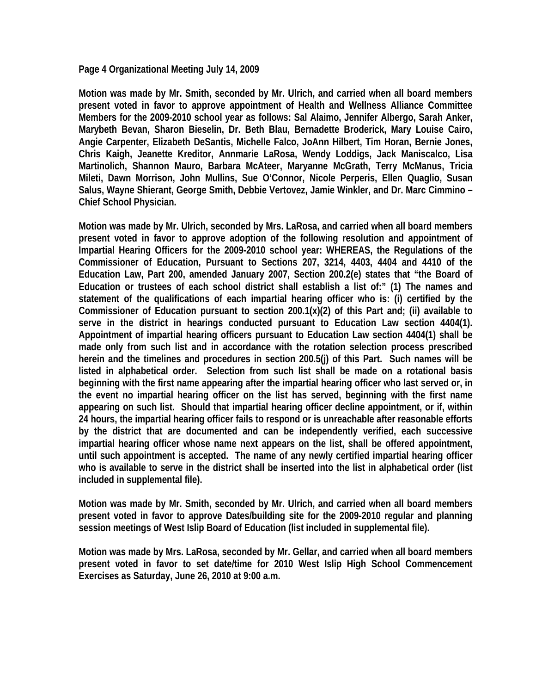**Page 4 Organizational Meeting July 14, 2009** 

**Motion was made by Mr. Smith, seconded by Mr. Ulrich, and carried when all board members present voted in favor to approve appointment of Health and Wellness Alliance Committee Members for the 2009-2010 school year as follows: Sal Alaimo, Jennifer Albergo, Sarah Anker, Marybeth Bevan, Sharon Bieselin, Dr. Beth Blau, Bernadette Broderick, Mary Louise Cairo, Angie Carpenter, Elizabeth DeSantis, Michelle Falco, JoAnn Hilbert, Tim Horan, Bernie Jones, Chris Kaigh, Jeanette Kreditor, Annmarie LaRosa, Wendy Loddigs, Jack Maniscalco, Lisa Martinolich, Shannon Mauro, Barbara McAteer, Maryanne McGrath, Terry McManus, Tricia Mileti, Dawn Morrison, John Mullins, Sue O'Connor, Nicole Perperis, Ellen Quaglio, Susan Salus, Wayne Shierant, George Smith, Debbie Vertovez, Jamie Winkler, and Dr. Marc Cimmino – Chief School Physician.** 

**Motion was made by Mr. Ulrich, seconded by Mrs. LaRosa, and carried when all board members present voted in favor to approve adoption of the following resolution and appointment of Impartial Hearing Officers for the 2009-2010 school year: WHEREAS, the Regulations of the Commissioner of Education, Pursuant to Sections 207, 3214, 4403, 4404 and 4410 of the Education Law, Part 200, amended January 2007, Section 200.2(e) states that "the Board of Education or trustees of each school district shall establish a list of:" (1) The names and statement of the qualifications of each impartial hearing officer who is: (i) certified by the Commissioner of Education pursuant to section 200.1(x)(2) of this Part and; (ii) available to serve in the district in hearings conducted pursuant to Education Law section 4404(1). Appointment of impartial hearing officers pursuant to Education Law section 4404(1) shall be made only from such list and in accordance with the rotation selection process prescribed herein and the timelines and procedures in section 200.5(j) of this Part. Such names will be listed in alphabetical order. Selection from such list shall be made on a rotational basis beginning with the first name appearing after the impartial hearing officer who last served or, in the event no impartial hearing officer on the list has served, beginning with the first name appearing on such list. Should that impartial hearing officer decline appointment, or if, within 24 hours, the impartial hearing officer fails to respond or is unreachable after reasonable efforts by the district that are documented and can be independently verified, each successive impartial hearing officer whose name next appears on the list, shall be offered appointment, until such appointment is accepted. The name of any newly certified impartial hearing officer who is available to serve in the district shall be inserted into the list in alphabetical order (list included in supplemental file).** 

**Motion was made by Mr. Smith, seconded by Mr. Ulrich, and carried when all board members present voted in favor to approve Dates/building site for the 2009-2010 regular and planning session meetings of West Islip Board of Education (list included in supplemental file).** 

**Motion was made by Mrs. LaRosa, seconded by Mr. Gellar, and carried when all board members present voted in favor to set date/time for 2010 West Islip High School Commencement Exercises as Saturday, June 26, 2010 at 9:00 a.m.**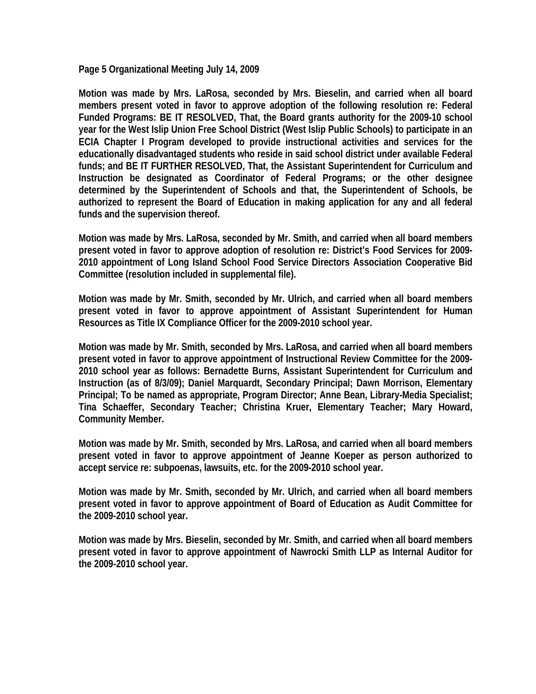**Page 5 Organizational Meeting July 14, 2009** 

**Motion was made by Mrs. LaRosa, seconded by Mrs. Bieselin, and carried when all board members present voted in favor to approve adoption of the following resolution re: Federal Funded Programs: BE IT RESOLVED, That, the Board grants authority for the 2009-10 school year for the West Islip Union Free School District (West Islip Public Schools) to participate in an ECIA Chapter I Program developed to provide instructional activities and services for the educationally disadvantaged students who reside in said school district under available Federal funds; and BE IT FURTHER RESOLVED, That, the Assistant Superintendent for Curriculum and Instruction be designated as Coordinator of Federal Programs; or the other designee determined by the Superintendent of Schools and that, the Superintendent of Schools, be authorized to represent the Board of Education in making application for any and all federal funds and the supervision thereof.** 

**Motion was made by Mrs. LaRosa, seconded by Mr. Smith, and carried when all board members present voted in favor to approve adoption of resolution re: District's Food Services for 2009- 2010 appointment of Long Island School Food Service Directors Association Cooperative Bid Committee (resolution included in supplemental file).** 

**Motion was made by Mr. Smith, seconded by Mr. Ulrich, and carried when all board members present voted in favor to approve appointment of Assistant Superintendent for Human Resources as Title IX Compliance Officer for the 2009-2010 school year.** 

**Motion was made by Mr. Smith, seconded by Mrs. LaRosa, and carried when all board members present voted in favor to approve appointment of Instructional Review Committee for the 2009- 2010 school year as follows: Bernadette Burns, Assistant Superintendent for Curriculum and Instruction (as of 8/3/09); Daniel Marquardt, Secondary Principal; Dawn Morrison, Elementary Principal; To be named as appropriate, Program Director; Anne Bean, Library-Media Specialist; Tina Schaeffer, Secondary Teacher; Christina Kruer, Elementary Teacher; Mary Howard, Community Member.** 

**Motion was made by Mr. Smith, seconded by Mrs. LaRosa, and carried when all board members present voted in favor to approve appointment of Jeanne Koeper as person authorized to accept service re: subpoenas, lawsuits, etc. for the 2009-2010 school year.** 

**Motion was made by Mr. Smith, seconded by Mr. Ulrich, and carried when all board members present voted in favor to approve appointment of Board of Education as Audit Committee for the 2009-2010 school year.** 

**Motion was made by Mrs. Bieselin, seconded by Mr. Smith, and carried when all board members present voted in favor to approve appointment of Nawrocki Smith LLP as Internal Auditor for the 2009-2010 school year.**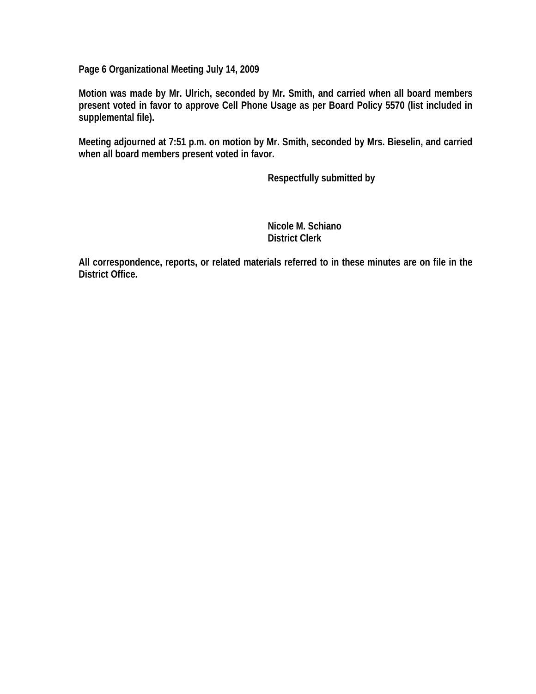**Page 6 Organizational Meeting July 14, 2009** 

**Motion was made by Mr. Ulrich, seconded by Mr. Smith, and carried when all board members present voted in favor to approve Cell Phone Usage as per Board Policy 5570 (list included in supplemental file).** 

**Meeting adjourned at 7:51 p.m. on motion by Mr. Smith, seconded by Mrs. Bieselin, and carried when all board members present voted in favor.** 

 **Respectfully submitted by** 

 **Nicole M. Schiano District Clerk** 

**All correspondence, reports, or related materials referred to in these minutes are on file in the District Office.**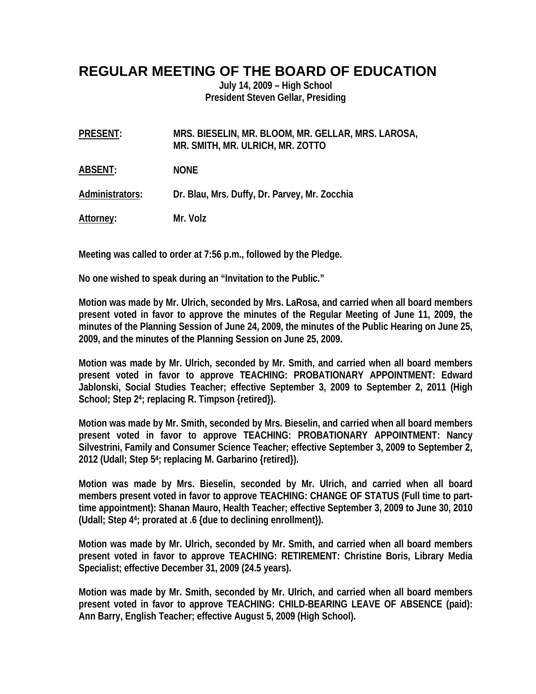## **REGULAR MEETING OF THE BOARD OF EDUCATION**

**July 14, 2009 – High School President Steven Gellar, Presiding** 

| <b>PRESENT:</b> | MRS. BIESELIN, MR. BLOOM, MR. GELLAR, MRS. LAROSA, |
|-----------------|----------------------------------------------------|
|                 | MR. SMITH, MR. ULRICH, MR. ZOTTO                   |
|                 |                                                    |

**ABSENT: NONE** 

**Administrators: Dr. Blau, Mrs. Duffy, Dr. Parvey, Mr. Zocchia** 

**Attorney: Mr. Volz** 

**Meeting was called to order at 7:56 p.m., followed by the Pledge.** 

**No one wished to speak during an "Invitation to the Public."** 

**Motion was made by Mr. Ulrich, seconded by Mrs. LaRosa, and carried when all board members present voted in favor to approve the minutes of the Regular Meeting of June 11, 2009, the minutes of the Planning Session of June 24, 2009, the minutes of the Public Hearing on June 25, 2009, and the minutes of the Planning Session on June 25, 2009.** 

**Motion was made by Mr. Ulrich, seconded by Mr. Smith, and carried when all board members present voted in favor to approve TEACHING: PROBATIONARY APPOINTMENT: Edward Jablonski, Social Studies Teacher; effective September 3, 2009 to September 2, 2011 (High School; Step 24; replacing R. Timpson {retired}).** 

**Motion was made by Mr. Smith, seconded by Mrs. Bieselin, and carried when all board members present voted in favor to approve TEACHING: PROBATIONARY APPOINTMENT: Nancy Silvestrini, Family and Consumer Science Teacher; effective September 3, 2009 to September 2, 2012 (Udall; Step 54; replacing M. Garbarino {retired}).** 

**Motion was made by Mrs. Bieselin, seconded by Mr. Ulrich, and carried when all board members present voted in favor to approve TEACHING: CHANGE OF STATUS (Full time to parttime appointment): Shanan Mauro, Health Teacher; effective September 3, 2009 to June 30, 2010 (Udall; Step 44; prorated at .6 {due to declining enrollment}).** 

**Motion was made by Mr. Ulrich, seconded by Mr. Smith, and carried when all board members present voted in favor to approve TEACHING: RETIREMENT: Christine Boris, Library Media Specialist; effective December 31, 2009 (24.5 years).** 

**Motion was made by Mr. Smith, seconded by Mr. Ulrich, and carried when all board members present voted in favor to approve TEACHING: CHILD-BEARING LEAVE OF ABSENCE (paid): Ann Barry, English Teacher; effective August 5, 2009 (High School).**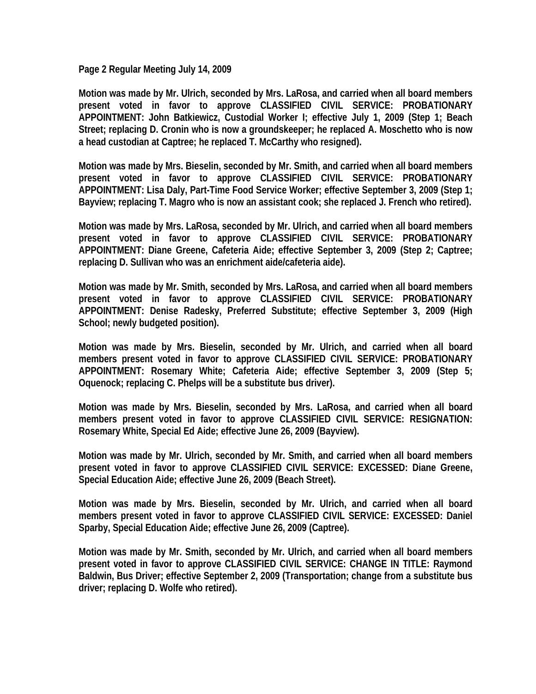**Page 2 Regular Meeting July 14, 2009** 

**Motion was made by Mr. Ulrich, seconded by Mrs. LaRosa, and carried when all board members present voted in favor to approve CLASSIFIED CIVIL SERVICE: PROBATIONARY APPOINTMENT: John Batkiewicz, Custodial Worker I; effective July 1, 2009 (Step 1; Beach Street; replacing D. Cronin who is now a groundskeeper; he replaced A. Moschetto who is now a head custodian at Captree; he replaced T. McCarthy who resigned).** 

**Motion was made by Mrs. Bieselin, seconded by Mr. Smith, and carried when all board members present voted in favor to approve CLASSIFIED CIVIL SERVICE: PROBATIONARY APPOINTMENT: Lisa Daly, Part-Time Food Service Worker; effective September 3, 2009 (Step 1; Bayview; replacing T. Magro who is now an assistant cook; she replaced J. French who retired).** 

**Motion was made by Mrs. LaRosa, seconded by Mr. Ulrich, and carried when all board members present voted in favor to approve CLASSIFIED CIVIL SERVICE: PROBATIONARY APPOINTMENT: Diane Greene, Cafeteria Aide; effective September 3, 2009 (Step 2; Captree; replacing D. Sullivan who was an enrichment aide/cafeteria aide).** 

**Motion was made by Mr. Smith, seconded by Mrs. LaRosa, and carried when all board members present voted in favor to approve CLASSIFIED CIVIL SERVICE: PROBATIONARY APPOINTMENT: Denise Radesky, Preferred Substitute; effective September 3, 2009 (High School; newly budgeted position).** 

**Motion was made by Mrs. Bieselin, seconded by Mr. Ulrich, and carried when all board members present voted in favor to approve CLASSIFIED CIVIL SERVICE: PROBATIONARY APPOINTMENT: Rosemary White; Cafeteria Aide; effective September 3, 2009 (Step 5; Oquenock; replacing C. Phelps will be a substitute bus driver).** 

**Motion was made by Mrs. Bieselin, seconded by Mrs. LaRosa, and carried when all board members present voted in favor to approve CLASSIFIED CIVIL SERVICE: RESIGNATION: Rosemary White, Special Ed Aide; effective June 26, 2009 (Bayview).** 

**Motion was made by Mr. Ulrich, seconded by Mr. Smith, and carried when all board members present voted in favor to approve CLASSIFIED CIVIL SERVICE: EXCESSED: Diane Greene, Special Education Aide; effective June 26, 2009 (Beach Street).** 

**Motion was made by Mrs. Bieselin, seconded by Mr. Ulrich, and carried when all board members present voted in favor to approve CLASSIFIED CIVIL SERVICE: EXCESSED: Daniel Sparby, Special Education Aide; effective June 26, 2009 (Captree).** 

**Motion was made by Mr. Smith, seconded by Mr. Ulrich, and carried when all board members present voted in favor to approve CLASSIFIED CIVIL SERVICE: CHANGE IN TITLE: Raymond Baldwin, Bus Driver; effective September 2, 2009 (Transportation; change from a substitute bus driver; replacing D. Wolfe who retired).**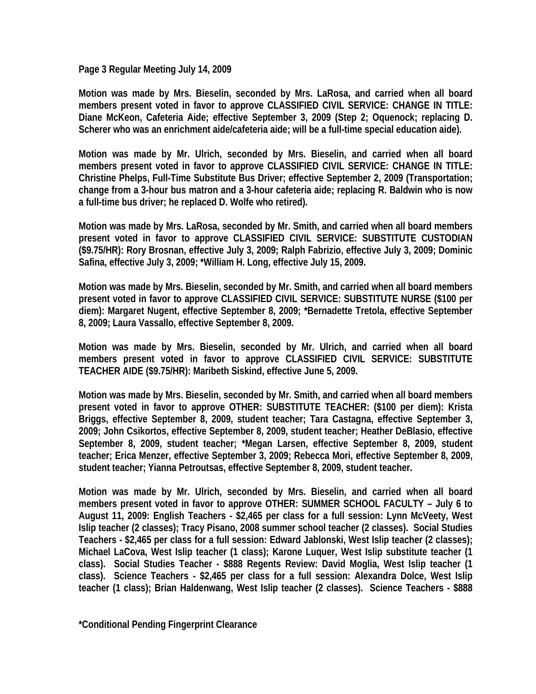**Page 3 Regular Meeting July 14, 2009** 

**Motion was made by Mrs. Bieselin, seconded by Mrs. LaRosa, and carried when all board members present voted in favor to approve CLASSIFIED CIVIL SERVICE: CHANGE IN TITLE: Diane McKeon, Cafeteria Aide; effective September 3, 2009 (Step 2; Oquenock; replacing D. Scherer who was an enrichment aide/cafeteria aide; will be a full-time special education aide).** 

**Motion was made by Mr. Ulrich, seconded by Mrs. Bieselin, and carried when all board members present voted in favor to approve CLASSIFIED CIVIL SERVICE: CHANGE IN TITLE: Christine Phelps, Full-Time Substitute Bus Driver; effective September 2, 2009 (Transportation; change from a 3-hour bus matron and a 3-hour cafeteria aide; replacing R. Baldwin who is now a full-time bus driver; he replaced D. Wolfe who retired).** 

**Motion was made by Mrs. LaRosa, seconded by Mr. Smith, and carried when all board members present voted in favor to approve CLASSIFIED CIVIL SERVICE: SUBSTITUTE CUSTODIAN (\$9.75/HR): Rory Brosnan, effective July 3, 2009; Ralph Fabrizio, effective July 3, 2009; Dominic Safina, effective July 3, 2009; \*William H. Long, effective July 15, 2009.** 

**Motion was made by Mrs. Bieselin, seconded by Mr. Smith, and carried when all board members present voted in favor to approve CLASSIFIED CIVIL SERVICE: SUBSTITUTE NURSE (\$100 per diem): Margaret Nugent, effective September 8, 2009; \*Bernadette Tretola, effective September 8, 2009; Laura Vassallo, effective September 8, 2009.** 

**Motion was made by Mrs. Bieselin, seconded by Mr. Ulrich, and carried when all board members present voted in favor to approve CLASSIFIED CIVIL SERVICE: SUBSTITUTE TEACHER AIDE (\$9.75/HR): Maribeth Siskind, effective June 5, 2009.** 

**Motion was made by Mrs. Bieselin, seconded by Mr. Smith, and carried when all board members present voted in favor to approve OTHER: SUBSTITUTE TEACHER: (\$100 per diem): Krista Briggs, effective September 8, 2009, student teacher; Tara Castagna, effective September 3, 2009; John Csikortos, effective September 8, 2009, student teacher; Heather DeBlasio, effective September 8, 2009, student teacher; \*Megan Larsen, effective September 8, 2009, student teacher; Erica Menzer, effective September 3, 2009; Rebecca Mori, effective September 8, 2009, student teacher; Yianna Petroutsas, effective September 8, 2009, student teacher.** 

**Motion was made by Mr. Ulrich, seconded by Mrs. Bieselin, and carried when all board members present voted in favor to approve OTHER: SUMMER SCHOOL FACULTY – July 6 to August 11, 2009: English Teachers - \$2,465 per class for a full session: Lynn McVeety, West Islip teacher (2 classes); Tracy Pisano, 2008 summer school teacher (2 classes). Social Studies Teachers - \$2,465 per class for a full session: Edward Jablonski, West Islip teacher (2 classes); Michael LaCova, West Islip teacher (1 class); Karone Luquer, West Islip substitute teacher (1 class). Social Studies Teacher - \$888 Regents Review: David Moglia, West Islip teacher (1 class). Science Teachers - \$2,465 per class for a full session: Alexandra Dolce, West Islip teacher (1 class); Brian Haldenwang, West Islip teacher (2 classes). Science Teachers - \$888** 

**\*Conditional Pending Fingerprint Clearance**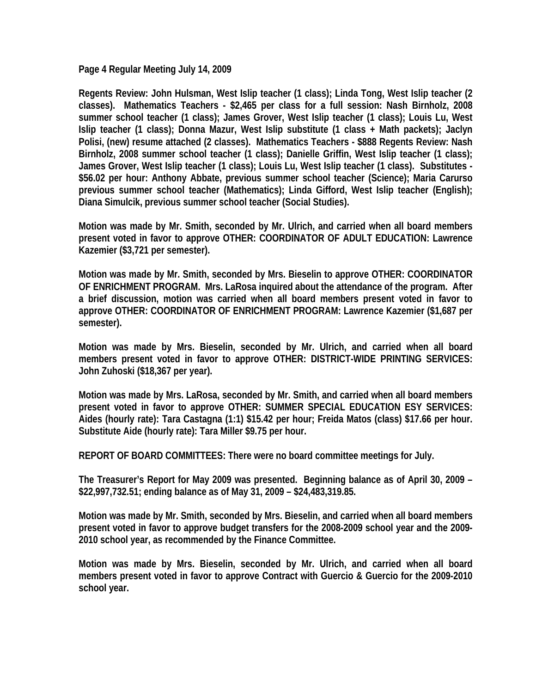**Page 4 Regular Meeting July 14, 2009** 

**Regents Review: John Hulsman, West Islip teacher (1 class); Linda Tong, West Islip teacher (2 classes). Mathematics Teachers - \$2,465 per class for a full session: Nash Birnholz, 2008 summer school teacher (1 class); James Grover, West Islip teacher (1 class); Louis Lu, West Islip teacher (1 class); Donna Mazur, West Islip substitute (1 class + Math packets); Jaclyn Polisi, (new) resume attached (2 classes). Mathematics Teachers - \$888 Regents Review: Nash Birnholz, 2008 summer school teacher (1 class); Danielle Griffin, West Islip teacher (1 class); James Grover, West Islip teacher (1 class); Louis Lu, West Islip teacher (1 class). Substitutes - \$56.02 per hour: Anthony Abbate, previous summer school teacher (Science); Maria Carurso previous summer school teacher (Mathematics); Linda Gifford, West Islip teacher (English); Diana Simulcik, previous summer school teacher (Social Studies).** 

**Motion was made by Mr. Smith, seconded by Mr. Ulrich, and carried when all board members present voted in favor to approve OTHER: COORDINATOR OF ADULT EDUCATION: Lawrence Kazemier (\$3,721 per semester).** 

**Motion was made by Mr. Smith, seconded by Mrs. Bieselin to approve OTHER: COORDINATOR OF ENRICHMENT PROGRAM. Mrs. LaRosa inquired about the attendance of the program. After a brief discussion, motion was carried when all board members present voted in favor to approve OTHER: COORDINATOR OF ENRICHMENT PROGRAM: Lawrence Kazemier (\$1,687 per semester).** 

**Motion was made by Mrs. Bieselin, seconded by Mr. Ulrich, and carried when all board members present voted in favor to approve OTHER: DISTRICT-WIDE PRINTING SERVICES: John Zuhoski (\$18,367 per year).** 

**Motion was made by Mrs. LaRosa, seconded by Mr. Smith, and carried when all board members present voted in favor to approve OTHER: SUMMER SPECIAL EDUCATION ESY SERVICES: Aides (hourly rate): Tara Castagna (1:1) \$15.42 per hour; Freida Matos (class) \$17.66 per hour. Substitute Aide (hourly rate): Tara Miller \$9.75 per hour.** 

**REPORT OF BOARD COMMITTEES: There were no board committee meetings for July.** 

**The Treasurer's Report for May 2009 was presented. Beginning balance as of April 30, 2009 – \$22,997,732.51; ending balance as of May 31, 2009 – \$24,483,319.85.** 

**Motion was made by Mr. Smith, seconded by Mrs. Bieselin, and carried when all board members present voted in favor to approve budget transfers for the 2008-2009 school year and the 2009- 2010 school year, as recommended by the Finance Committee.** 

**Motion was made by Mrs. Bieselin, seconded by Mr. Ulrich, and carried when all board members present voted in favor to approve Contract with Guercio & Guercio for the 2009-2010 school year.**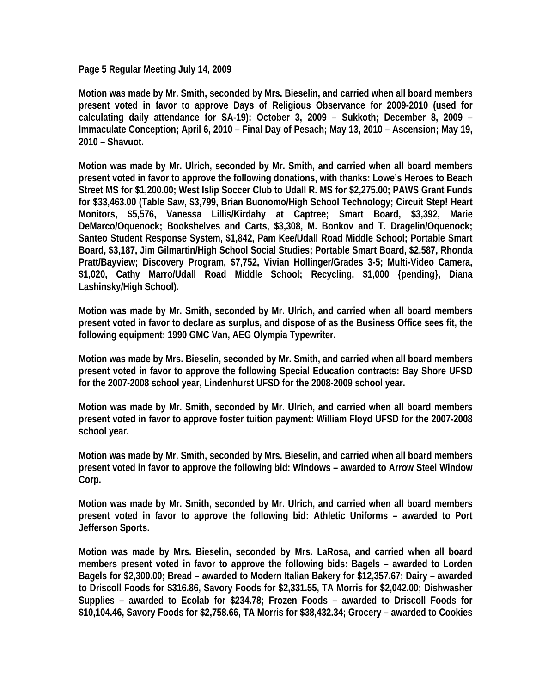**Page 5 Regular Meeting July 14, 2009** 

**Motion was made by Mr. Smith, seconded by Mrs. Bieselin, and carried when all board members present voted in favor to approve Days of Religious Observance for 2009-2010 (used for calculating daily attendance for SA-19): October 3, 2009 – Sukkoth; December 8, 2009 – Immaculate Conception; April 6, 2010 – Final Day of Pesach; May 13, 2010 – Ascension; May 19, 2010 – Shavuot.** 

**Motion was made by Mr. Ulrich, seconded by Mr. Smith, and carried when all board members present voted in favor to approve the following donations, with thanks: Lowe's Heroes to Beach Street MS for \$1,200.00; West Islip Soccer Club to Udall R. MS for \$2,275.00; PAWS Grant Funds for \$33,463.00 (Table Saw, \$3,799, Brian Buonomo/High School Technology; Circuit Step! Heart Monitors, \$5,576, Vanessa Lillis/Kirdahy at Captree; Smart Board, \$3,392, Marie DeMarco/Oquenock; Bookshelves and Carts, \$3,308, M. Bonkov and T. Dragelin/Oquenock; Santeo Student Response System, \$1,842, Pam Kee/Udall Road Middle School; Portable Smart Board, \$3,187, Jim Gilmartin/High School Social Studies; Portable Smart Board, \$2,587, Rhonda Pratt/Bayview; Discovery Program, \$7,752, Vivian Hollinger/Grades 3-5; Multi-Video Camera, \$1,020, Cathy Marro/Udall Road Middle School; Recycling, \$1,000 {pending}, Diana Lashinsky/High School).** 

**Motion was made by Mr. Smith, seconded by Mr. Ulrich, and carried when all board members present voted in favor to declare as surplus, and dispose of as the Business Office sees fit, the following equipment: 1990 GMC Van, AEG Olympia Typewriter.** 

**Motion was made by Mrs. Bieselin, seconded by Mr. Smith, and carried when all board members present voted in favor to approve the following Special Education contracts: Bay Shore UFSD for the 2007-2008 school year, Lindenhurst UFSD for the 2008-2009 school year.** 

**Motion was made by Mr. Smith, seconded by Mr. Ulrich, and carried when all board members present voted in favor to approve foster tuition payment: William Floyd UFSD for the 2007-2008 school year.** 

**Motion was made by Mr. Smith, seconded by Mrs. Bieselin, and carried when all board members present voted in favor to approve the following bid: Windows – awarded to Arrow Steel Window Corp.** 

**Motion was made by Mr. Smith, seconded by Mr. Ulrich, and carried when all board members present voted in favor to approve the following bid: Athletic Uniforms – awarded to Port Jefferson Sports.** 

**Motion was made by Mrs. Bieselin, seconded by Mrs. LaRosa, and carried when all board members present voted in favor to approve the following bids: Bagels – awarded to Lorden Bagels for \$2,300.00; Bread – awarded to Modern Italian Bakery for \$12,357.67; Dairy – awarded to Driscoll Foods for \$316.86, Savory Foods for \$2,331.55, TA Morris for \$2,042.00; Dishwasher Supplies – awarded to Ecolab for \$234.78; Frozen Foods – awarded to Driscoll Foods for \$10,104.46, Savory Foods for \$2,758.66, TA Morris for \$38,432.34; Grocery – awarded to Cookies**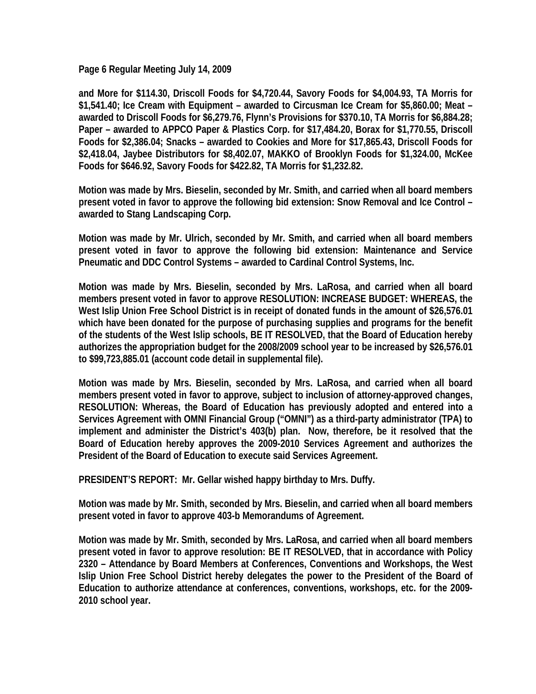**Page 6 Regular Meeting July 14, 2009** 

**and More for \$114.30, Driscoll Foods for \$4,720.44, Savory Foods for \$4,004.93, TA Morris for \$1,541.40; Ice Cream with Equipment – awarded to Circusman Ice Cream for \$5,860.00; Meat – awarded to Driscoll Foods for \$6,279.76, Flynn's Provisions for \$370.10, TA Morris for \$6,884.28; Paper – awarded to APPCO Paper & Plastics Corp. for \$17,484.20, Borax for \$1,770.55, Driscoll Foods for \$2,386.04; Snacks – awarded to Cookies and More for \$17,865.43, Driscoll Foods for \$2,418.04, Jaybee Distributors for \$8,402.07, MAKKO of Brooklyn Foods for \$1,324.00, McKee Foods for \$646.92, Savory Foods for \$422.82, TA Morris for \$1,232.82.** 

**Motion was made by Mrs. Bieselin, seconded by Mr. Smith, and carried when all board members present voted in favor to approve the following bid extension: Snow Removal and Ice Control – awarded to Stang Landscaping Corp.** 

**Motion was made by Mr. Ulrich, seconded by Mr. Smith, and carried when all board members present voted in favor to approve the following bid extension: Maintenance and Service Pneumatic and DDC Control Systems – awarded to Cardinal Control Systems, Inc.** 

**Motion was made by Mrs. Bieselin, seconded by Mrs. LaRosa, and carried when all board members present voted in favor to approve RESOLUTION: INCREASE BUDGET: WHEREAS, the West Islip Union Free School District is in receipt of donated funds in the amount of \$26,576.01 which have been donated for the purpose of purchasing supplies and programs for the benefit of the students of the West Islip schools, BE IT RESOLVED, that the Board of Education hereby authorizes the appropriation budget for the 2008/2009 school year to be increased by \$26,576.01 to \$99,723,885.01 (account code detail in supplemental file).** 

**Motion was made by Mrs. Bieselin, seconded by Mrs. LaRosa, and carried when all board members present voted in favor to approve, subject to inclusion of attorney-approved changes, RESOLUTION: Whereas, the Board of Education has previously adopted and entered into a Services Agreement with OMNI Financial Group ("OMNI") as a third-party administrator (TPA) to implement and administer the District's 403(b) plan. Now, therefore, be it resolved that the Board of Education hereby approves the 2009-2010 Services Agreement and authorizes the President of the Board of Education to execute said Services Agreement.** 

**PRESIDENT'S REPORT: Mr. Gellar wished happy birthday to Mrs. Duffy.** 

**Motion was made by Mr. Smith, seconded by Mrs. Bieselin, and carried when all board members present voted in favor to approve 403-b Memorandums of Agreement.** 

**Motion was made by Mr. Smith, seconded by Mrs. LaRosa, and carried when all board members present voted in favor to approve resolution: BE IT RESOLVED, that in accordance with Policy 2320 – Attendance by Board Members at Conferences, Conventions and Workshops, the West Islip Union Free School District hereby delegates the power to the President of the Board of Education to authorize attendance at conferences, conventions, workshops, etc. for the 2009- 2010 school year.**